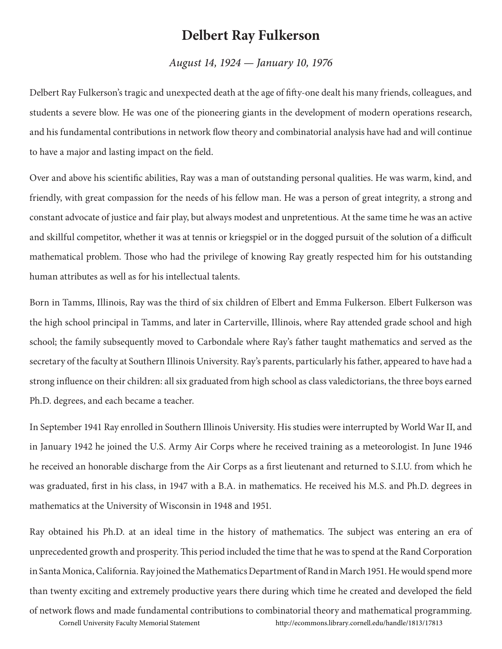## **Delbert Ray Fulkerson**

## *August 14, 1924 — January 10, 1976*

Delbert Ray Fulkerson's tragic and unexpected death at the age of fifty-one dealt his many friends, colleagues, and students a severe blow. He was one of the pioneering giants in the development of modern operations research, and his fundamental contributions in network flow theory and combinatorial analysis have had and will continue to have a major and lasting impact on the field.

Over and above his scientific abilities, Ray was a man of outstanding personal qualities. He was warm, kind, and friendly, with great compassion for the needs of his fellow man. He was a person of great integrity, a strong and constant advocate of justice and fair play, but always modest and unpretentious. At the same time he was an active and skillful competitor, whether it was at tennis or kriegspiel or in the dogged pursuit of the solution of a difficult mathematical problem. Those who had the privilege of knowing Ray greatly respected him for his outstanding human attributes as well as for his intellectual talents.

Born in Tamms, Illinois, Ray was the third of six children of Elbert and Emma Fulkerson. Elbert Fulkerson was the high school principal in Tamms, and later in Carterville, Illinois, where Ray attended grade school and high school; the family subsequently moved to Carbondale where Ray's father taught mathematics and served as the secretary of the faculty at Southern Illinois University. Ray's parents, particularly his father, appeared to have had a strong influence on their children: all six graduated from high school as class valedictorians, the three boys earned Ph.D. degrees, and each became a teacher.

In September 1941 Ray enrolled in Southern Illinois University. His studies were interrupted by World War II, and in January 1942 he joined the U.S. Army Air Corps where he received training as a meteorologist. In June 1946 he received an honorable discharge from the Air Corps as a first lieutenant and returned to S.I.U. from which he was graduated, first in his class, in 1947 with a B.A. in mathematics. He received his M.S. and Ph.D. degrees in mathematics at the University of Wisconsin in 1948 and 1951.

Ray obtained his Ph.D. at an ideal time in the history of mathematics. The subject was entering an era of unprecedented growth and prosperity. This period included the time that he was to spend at the Rand Corporation in Santa Monica, California. Ray joined the Mathematics Department of Rand in March 1951. He would spend more than twenty exciting and extremely productive years there during which time he created and developed the field

of network flows and made fundamental contributions to combinatorial theory and mathematical programming. Cornell University Faculty Memorial Statement http://ecommons.library.cornell.edu/handle/1813/17813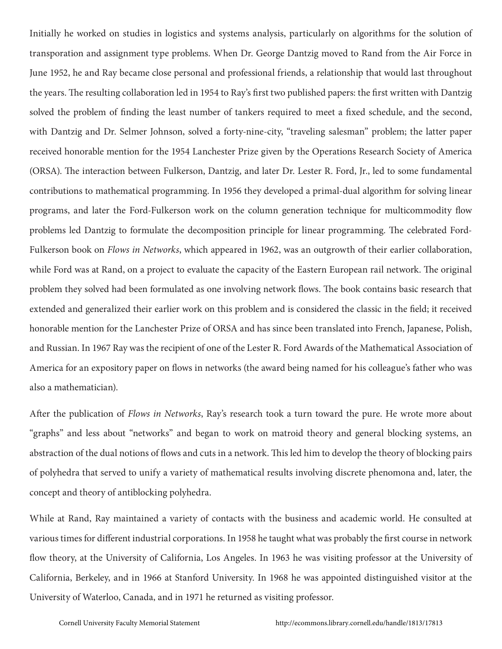Initially he worked on studies in logistics and systems analysis, particularly on algorithms for the solution of transporation and assignment type problems. When Dr. George Dantzig moved to Rand from the Air Force in June 1952, he and Ray became close personal and professional friends, a relationship that would last throughout the years. The resulting collaboration led in 1954 to Ray's first two published papers: the first written with Dantzig solved the problem of finding the least number of tankers required to meet a fixed schedule, and the second, with Dantzig and Dr. Selmer Johnson, solved a forty-nine-city, "traveling salesman" problem; the latter paper received honorable mention for the 1954 Lanchester Prize given by the Operations Research Society of America (ORSA). The interaction between Fulkerson, Dantzig, and later Dr. Lester R. Ford, Jr., led to some fundamental contributions to mathematical programming. In 1956 they developed a primal-dual algorithm for solving linear programs, and later the Ford-Fulkerson work on the column generation technique for multicommodity flow problems led Dantzig to formulate the decomposition principle for linear programming. The celebrated Ford-Fulkerson book on *Flows in Networks*, which appeared in 1962, was an outgrowth of their earlier collaboration, while Ford was at Rand, on a project to evaluate the capacity of the Eastern European rail network. The original problem they solved had been formulated as one involving network flows. The book contains basic research that extended and generalized their earlier work on this problem and is considered the classic in the field; it received honorable mention for the Lanchester Prize of ORSA and has since been translated into French, Japanese, Polish, and Russian. In 1967 Ray was the recipient of one of the Lester R. Ford Awards of the Mathematical Association of America for an expository paper on flows in networks (the award being named for his colleague's father who was also a mathematician).

After the publication of *Flows in Networks*, Ray's research took a turn toward the pure. He wrote more about "graphs" and less about "networks" and began to work on matroid theory and general blocking systems, an abstraction of the dual notions of flows and cuts in a network. This led him to develop the theory of blocking pairs of polyhedra that served to unify a variety of mathematical results involving discrete phenomona and, later, the concept and theory of antiblocking polyhedra.

While at Rand, Ray maintained a variety of contacts with the business and academic world. He consulted at various times for different industrial corporations. In 1958 he taught what was probably the first course in network flow theory, at the University of California, Los Angeles. In 1963 he was visiting professor at the University of California, Berkeley, and in 1966 at Stanford University. In 1968 he was appointed distinguished visitor at the University of Waterloo, Canada, and in 1971 he returned as visiting professor.